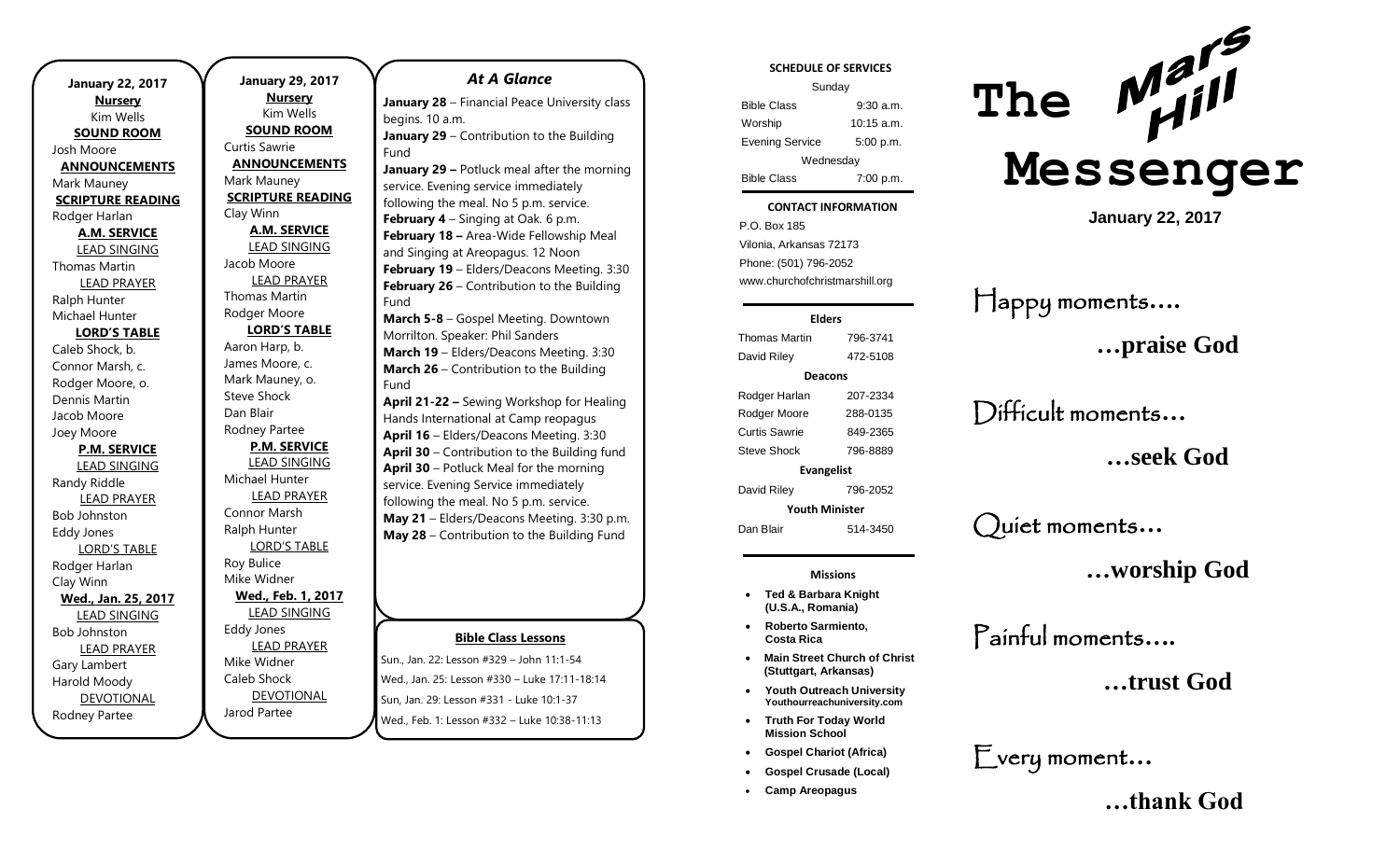**January 22, 2017 Nursery** Kim Wells **SOUND ROOM** Josh Moore **ANNOUNCEMENTS** Mark Mauney **SCRIPTURE READING** Rodger Harlan **A.M. SERVICE** LEAD SINGING Thomas Martin LEAD PRAYER Ralph Hunter Michael Hunter **LORD'S TABLE** Caleb Shock, b. Connor Marsh, c. Rodger Moore, o. Dennis Martin Jacob Moore Joey Moore **P.M. SERVICE** LEAD SINGING Randy Riddle LEAD PRAYER Bob Johnston Eddy Jones LORD'S TABLE Rodger Harlan Clay Winn **Wed., Jan. 25, 2017** LEAD SINGING Bob Johnston LEAD PRAYER Gary Lambert Harold Moody DEVOTIONAL Rodney Partee

**January 29, 2017 Nursery** Kim Wells **SOUND ROOM** Curtis Sawrie **ANNOUNCEMENTS** Mark Mauney **SCRIPTURE READING** Clay Winn **A.M. SERVICE** LEAD SINGING Jacob Moore LEAD PRAYER Thomas Martin Rodger Moore **LORD'S TABLE** Aaron Harp, b. James Moore, c. Mark Mauney, o. Steve Shock Dan Blair Rodney Partee **P.M. SERVICE** LEAD SINGING Michael Hunter LEAD PRAYER Connor Marsh Ralph Hunter LORD'S TABLE Roy Bulice Mike Widner **Wed., Feb. 1, 2017** LEAD SINGING Eddy Jones LEAD PRAYER Mike Widner Caleb Shock DEVOTIONAL

Jarod Partee

### *At A Glance*

**January 28** – Financial Peace University class begins. 10 a.m. **January 29** – Contribution to the Building

Fund **January 29 –** Potluck meal after the morning service. Evening service immediately following the meal. No 5 p.m. service. **February 4** – Singing at Oak. 6 p.m. **February 18 –** Area-Wide Fellowship Meal and Singing at Areopagus. 12 Noon **February 19** – Elders/Deacons Meeting. 3:30 **February 26** – Contribution to the Building Fund

**March 5-8** – Gospel Meeting. Downtown Morrilton. Speaker: Phil Sanders **March 19** – Elders/Deacons Meeting. 3:30 **March 26** – Contribution to the Building Fund

**April 21-22 –** Sewing Workshop for Healing Hands International at Camp reopagus **April 16** – Elders/Deacons Meeting. 3:30 **April 30** – Contribution to the Building fund **April 30** – Potluck Meal for the morning service. Evening Service immediately following the meal. No 5 p.m. service. **May 21** – Elders/Deacons Meeting. 3:30 p.m. **May 28** – Contribution to the Building Fund

#### **Bible Class Lessons**

Sun., Jan. 22: Lesson #329 – John 11:1-54 Wed., Jan. 25: Lesson #330 – Luke 17:11-18:14 Sun, Jan. 29: Lesson #331 - Luke 10:1-37 Wed., Feb. 1: Lesson #332 – Luke 10:38-11:13

#### **SCHEDULE OF SERVICES**

| Sunday                 |              |
|------------------------|--------------|
| <b>Bible Class</b>     | $9:30$ a.m.  |
| Worship                | $10:15$ a.m. |
| <b>Evening Service</b> | 5:00 p.m.    |
| Wednesday              |              |
| <b>Bible Class</b>     | 7:00 p.m.    |

#### **CONTACT INFORMATION**

Tuesday . .o. Bex 166<br>Vilonia, Arkansas 72173 P.O. Box 185 Phone: (501) 796-2052 www.churchofchristmarshill.org

#### **Elders**

Thomas Martin 796-3741 David Riley 472-5108 **Deacons** Rodger Harlan 207-2334 Rodger Moore 288-0135 Curtis Sawrie 849-2365 Steve Shock 796-8889 **Evangelist** David Riley 796-2052 **Youth Minister**

Dan Blair 514-3450

**Missions**

- **Ted & Barbara Knight (U.S.A., Romania)**
- **Roberto Sarmiento, Costa Rica**
- **Main Street Church of Christ (Stuttgart, Arkansas)**
- **Youth Outreach University Youthourreachuniversity.com**
- **Truth For Today World Mission School**
- **Gospel Chariot (Africa)**
- **Gospel Crusade (Local)**
- **Camp Areopagus**



**January 22, 2017**

Happy moments**….**

**…praise God**

Difficult moments**…**

**…seek God**

Quiet moments**…**

**…worship God**

Painful moments**….**

**…trust God**

Every moment**…**

 **…thank God**